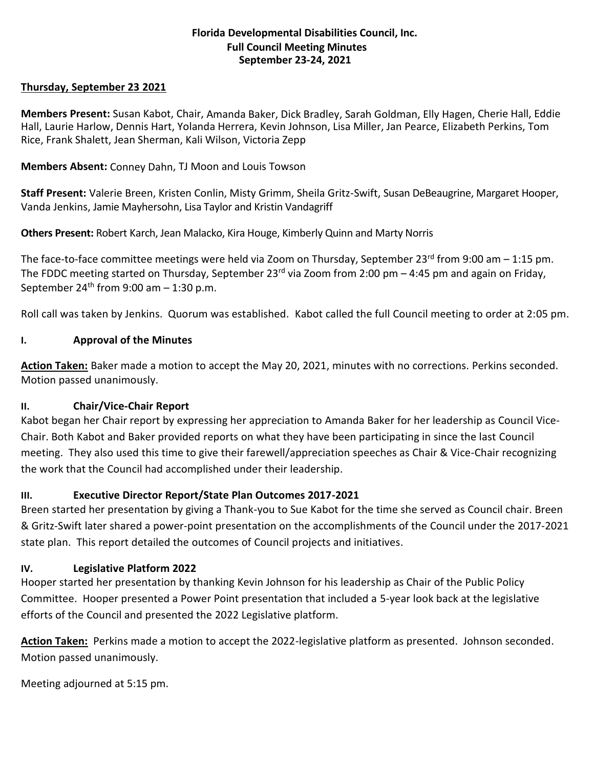### **Florida Developmental Disabilities Council, Inc. Full Council Meeting Minutes September 23-24, 2021**

### **Thursday, September 23 2021**

**Members Present:** Susan Kabot, Chair, Amanda Baker, Dick Bradley, Sarah Goldman, Elly Hagen, Cherie Hall, Eddie Hall, Laurie Harlow, Dennis Hart, Yolanda Herrera, Kevin Johnson, Lisa Miller, Jan Pearce, Elizabeth Perkins, Tom Rice, Frank Shalett, Jean Sherman, Kali Wilson, Victoria Zepp

**Members Absent:** Conney Dahn, TJ Moon and Louis Towson

**Staff Present:** Valerie Breen, Kristen Conlin, Misty Grimm, Sheila Gritz-Swift, Susan DeBeaugrine, Margaret Hooper, Vanda Jenkins, Jamie Mayhersohn, Lisa Taylor and Kristin Vandagriff

**Others Present:** Robert Karch, Jean Malacko, Kira Houge, Kimberly Quinn and Marty Norris

The face-to-face committee meetings were held via Zoom on Thursday, September  $23^{rd}$  from 9:00 am  $-1:15$  pm. The FDDC meeting started on Thursday, September 23<sup>rd</sup> via Zoom from 2:00 pm  $-$  4:45 pm and again on Friday, September 24<sup>th</sup> from 9:00 am  $-$  1:30 p.m.

Roll call was taken by Jenkins. Quorum was established. Kabot called the full Council meeting to order at 2:05 pm.

# **I. Approval of the Minutes**

**Action Taken:** Baker made a motion to accept the May 20, 2021, minutes with no corrections. Perkins seconded. Motion passed unanimously.

# **II. Chair/Vice-Chair Report**

Kabot began her Chair report by expressing her appreciation to Amanda Baker for her leadership as Council Vice-Chair. Both Kabot and Baker provided reports on what they have been participating in since the last Council meeting. They also used this time to give their farewell/appreciation speeches as Chair & Vice-Chair recognizing the work that the Council had accomplished under their leadership.

# **III. Executive Director Report/State Plan Outcomes 2017-2021**

Breen started her presentation by giving a Thank-you to Sue Kabot for the time she served as Council chair. Breen & Gritz-Swift later shared a power-point presentation on the accomplishments of the Council under the 2017-2021 state plan. This report detailed the outcomes of Council projects and initiatives.

# **IV. Legislative Platform 2022**

Hooper started her presentation by thanking Kevin Johnson for his leadership as Chair of the Public Policy Committee. Hooper presented a Power Point presentation that included a 5-year look back at the legislative efforts of the Council and presented the 2022 Legislative platform.

**Action Taken:** Perkins made a motion to accept the 2022-legislative platform as presented. Johnson seconded. Motion passed unanimously.

Meeting adjourned at 5:15 pm.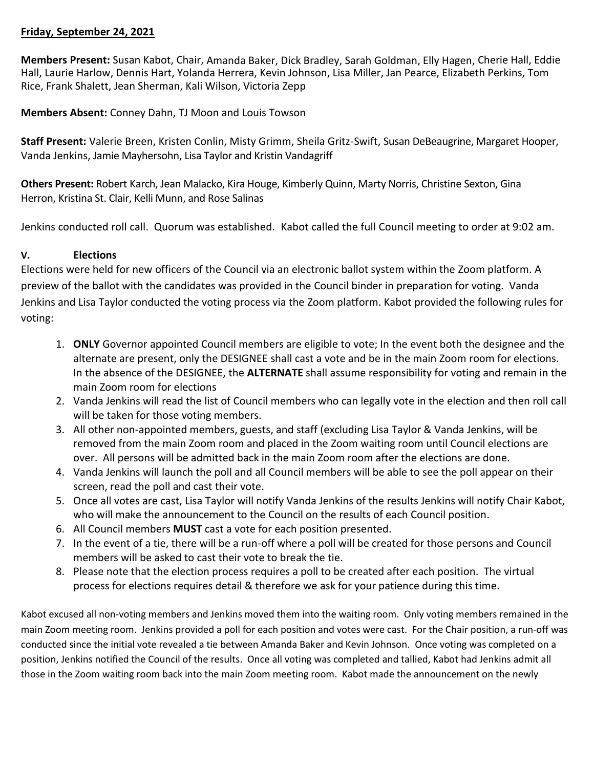### **Friday, September 24, 2021**

**Members Present:** Susan Kabot, Chair, Amanda Baker, Dick Bradley, Sarah Goldman, Elly Hagen, Cherie Hall, Eddie Hall, Laurie Harlow, Dennis Hart, Yolanda Herrera, Kevin Johnson, Lisa Miller, Jan Pearce, Elizabeth Perkins, Tom Rice, Frank Shalett, Jean Sherman, Kali Wilson, Victoria Zepp

**Members Absent:** Conney Dahn, TJ Moon and Louis Towson

**Staff Present:** Valerie Breen, Kristen Conlin, Misty Grimm, Sheila Gritz-Swift, Susan DeBeaugrine, Margaret Hooper, Vanda Jenkins, Jamie Mayhersohn, Lisa Taylor and Kristin Vandagriff

**Others Present:** Robert Karch, Jean Malacko, Kira Houge, Kimberly Quinn, Marty Norris, Christine Sexton, Gina Herron, Kristina St. Clair, Kelli Munn, and Rose Salinas

Jenkins conducted roll call. Quorum was established. Kabot called the full Council meeting to order at 9:02 am.

### **V. Elections**

Elections were held for new officers of the Council via an electronic ballot system within the Zoom platform. A preview of the ballot with the candidates was provided in the Council binder in preparation for voting. Vanda Jenkins and Lisa Taylor conducted the voting process via the Zoom platform. Kabot provided the following rules for voting:

- 1. **ONLY** Governor appointed Council members are eligible to vote; In the event both the designee and the alternate are present, only the DESIGNEE shall cast a vote and be in the main Zoom room for elections. In the absence of the DESIGNEE, the **ALTERNATE** shall assume responsibility for voting and remain in the main Zoom room for elections
- 2. Vanda Jenkins will read the list of Council members who can legally vote in the election and then roll call will be taken for those voting members.
- 3. All other non-appointed members, guests, and staff (excluding Lisa Taylor & Vanda Jenkins, will be removed from the main Zoom room and placed in the Zoom waiting room until Council elections are over. All persons will be admitted back in the main Zoom room after the elections are done.
- 4. Vanda Jenkins will launch the poll and all Council members will be able to see the poll appear on their screen, read the poll and cast their vote.
- 5. Once all votes are cast, Lisa Taylor will notify Vanda Jenkins of the results Jenkins will notify Chair Kabot, who will make the announcement to the Council on the results of each Council position.
- 6. All Council members **MUST** cast a vote for each position presented.
- 7. In the event of a tie, there will be a run-off where a poll will be created for those persons and Council members will be asked to cast their vote to break the tie.
- 8. Please note that the election process requires a poll to be created after each position. The virtual process for elections requires detail & therefore we ask for your patience during this time.

Kabot excused all non-voting members and Jenkins moved them into the waiting room. Only voting members remained in the main Zoom meeting room. Jenkins provided a poll for each position and votes were cast. For the Chair position, a run-off was conducted since the initial vote revealed a tie between Amanda Baker and Kevin Johnson. Once voting was completed on a position, Jenkins notified the Council of the results. Once all voting was completed and tallied, Kabot had Jenkins admit all those in the Zoom waiting room back into the main Zoom meeting room. Kabot made the announcement on the newly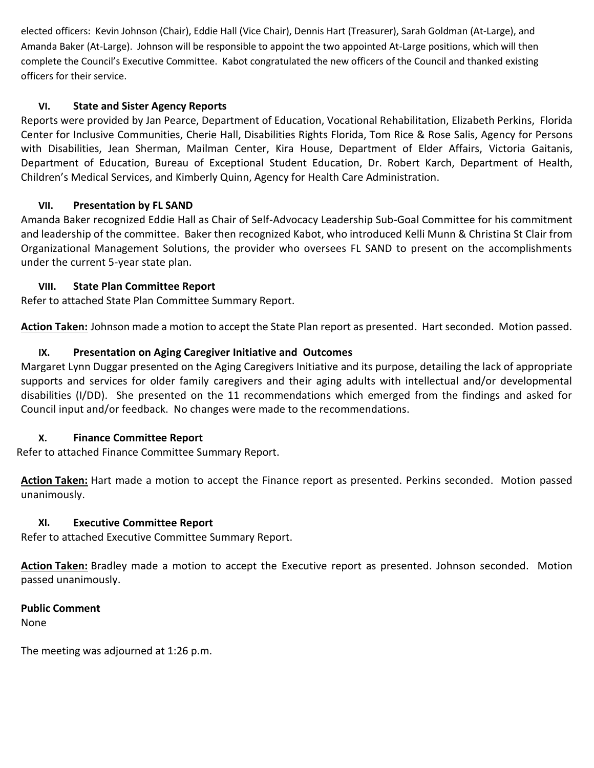elected officers: Kevin Johnson (Chair), Eddie Hall (Vice Chair), Dennis Hart (Treasurer), Sarah Goldman (At-Large), and Amanda Baker (At-Large). Johnson will be responsible to appoint the two appointed At-Large positions, which will then complete the Council's Executive Committee. Kabot congratulated the new officers of the Council and thanked existing officers for their service.

# **VI. State and Sister Agency Reports**

Reports were provided by Jan Pearce, Department of Education, Vocational Rehabilitation, Elizabeth Perkins, Florida Center for Inclusive Communities, Cherie Hall, Disabilities Rights Florida, Tom Rice & Rose Salis, Agency for Persons with Disabilities, Jean Sherman, Mailman Center, Kira House, Department of Elder Affairs, Victoria Gaitanis, Department of Education, Bureau of Exceptional Student Education, Dr. Robert Karch, Department of Health, Children's Medical Services, and Kimberly Quinn, Agency for Health Care Administration.

# **VII. Presentation by FL SAND**

Amanda Baker recognized Eddie Hall as Chair of Self-Advocacy Leadership Sub-Goal Committee for his commitment and leadership of the committee. Baker then recognized Kabot, who introduced Kelli Munn & Christina St Clair from Organizational Management Solutions, the provider who oversees FL SAND to present on the accomplishments under the current 5-year state plan.

# **VIII. State Plan Committee Report**

Refer to attached State Plan Committee Summary Report.

**Action Taken:** Johnson made a motion to accept the State Plan report as presented. Hart seconded. Motion passed.

# **IX. Presentation on Aging Caregiver Initiative and Outcomes**

Margaret Lynn Duggar presented on the Aging Caregivers Initiative and its purpose, detailing the lack of appropriate supports and services for older family caregivers and their aging adults with intellectual and/or developmental disabilities (I/DD). She presented on the 11 recommendations which emerged from the findings and asked for Council input and/or feedback. No changes were made to the recommendations.

# **X. Finance Committee Report**

Refer to attached Finance Committee Summary Report.

**Action Taken:** Hart made a motion to accept the Finance report as presented. Perkins seconded. Motion passed unanimously.

# **XI. Executive Committee Report**

Refer to attached Executive Committee Summary Report.

**Action Taken:** Bradley made a motion to accept the Executive report as presented. Johnson seconded. Motion passed unanimously.

# **Public Comment**

None

The meeting was adjourned at 1:26 p.m.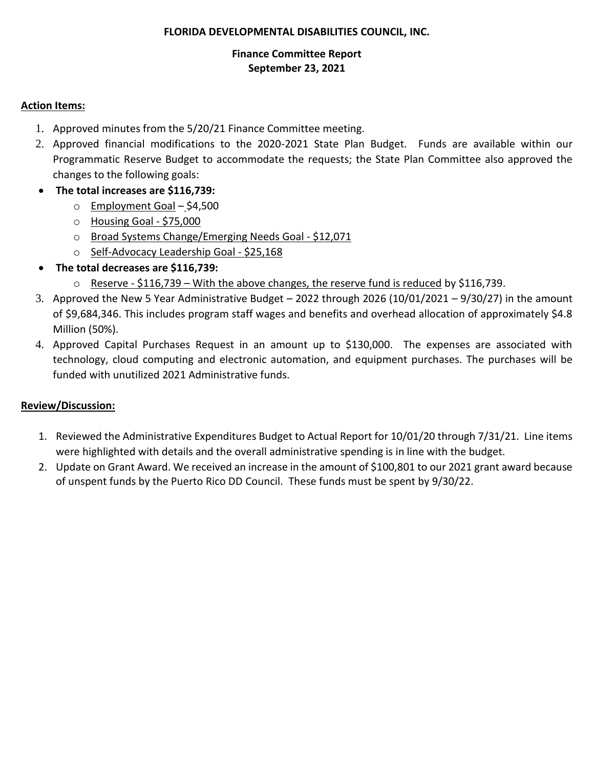### **FLORIDA DEVELOPMENTAL DISABILITIES COUNCIL, INC.**

### **Finance Committee Report September 23, 2021**

### **Action Items:**

- 1. Approved minutes from the 5/20/21 Finance Committee meeting.
- 2. Approved financial modifications to the 2020-2021 State Plan Budget. Funds are available within our Programmatic Reserve Budget to accommodate the requests; the State Plan Committee also approved the changes to the following goals:
- **The total increases are \$116,739:**
	- o Employment Goal \$4,500
	- o Housing Goal \$75,000
	- o Broad Systems Change/Emerging Needs Goal \$12,071
	- o Self-Advocacy Leadership Goal \$25,168
- **The total decreases are \$116,739:**
	- o Reserve \$116,739 With the above changes, the reserve fund is reduced by \$116,739.
- 3. Approved the New 5 Year Administrative Budget 2022 through 2026 (10/01/2021 9/30/27) in the amount of \$9,684,346. This includes program staff wages and benefits and overhead allocation of approximately \$4.8 Million (50%).
- 4. Approved Capital Purchases Request in an amount up to \$130,000. The expenses are associated with technology, cloud computing and electronic automation, and equipment purchases. The purchases will be funded with unutilized 2021 Administrative funds.

# **Review/Discussion:**

- 1. Reviewed the Administrative Expenditures Budget to Actual Report for 10/01/20 through 7/31/21. Line items were highlighted with details and the overall administrative spending is in line with the budget.
- 2. Update on Grant Award. We received an increase in the amount of \$100,801 to our 2021 grant award because of unspent funds by the Puerto Rico DD Council. These funds must be spent by 9/30/22.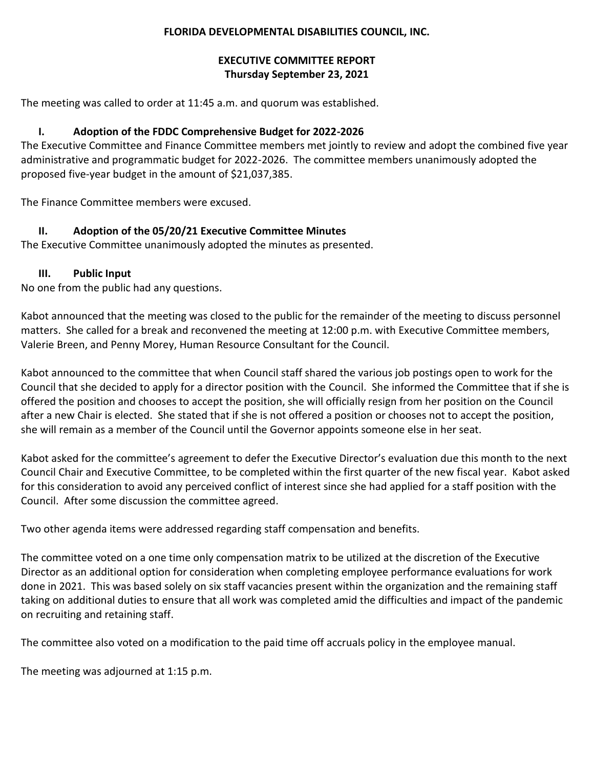### **FLORIDA DEVELOPMENTAL DISABILITIES COUNCIL, INC.**

# **EXECUTIVE COMMITTEE REPORT Thursday September 23, 2021**

The meeting was called to order at 11:45 a.m. and quorum was established.

# **I. Adoption of the FDDC Comprehensive Budget for 2022-2026**

The Executive Committee and Finance Committee members met jointly to review and adopt the combined five year administrative and programmatic budget for 2022-2026. The committee members unanimously adopted the proposed five-year budget in the amount of \$21,037,385.

The Finance Committee members were excused.

# **II. Adoption of the 05/20/21 Executive Committee Minutes**

The Executive Committee unanimously adopted the minutes as presented.

# **III. Public Input**

No one from the public had any questions.

Kabot announced that the meeting was closed to the public for the remainder of the meeting to discuss personnel matters. She called for a break and reconvened the meeting at 12:00 p.m. with Executive Committee members, Valerie Breen, and Penny Morey, Human Resource Consultant for the Council.

Kabot announced to the committee that when Council staff shared the various job postings open to work for the Council that she decided to apply for a director position with the Council. She informed the Committee that if she is offered the position and chooses to accept the position, she will officially resign from her position on the Council after a new Chair is elected. She stated that if she is not offered a position or chooses not to accept the position, she will remain as a member of the Council until the Governor appoints someone else in her seat.

Kabot asked for the committee's agreement to defer the Executive Director's evaluation due this month to the next Council Chair and Executive Committee, to be completed within the first quarter of the new fiscal year. Kabot asked for this consideration to avoid any perceived conflict of interest since she had applied for a staff position with the Council. After some discussion the committee agreed.

Two other agenda items were addressed regarding staff compensation and benefits.

The committee voted on a one time only compensation matrix to be utilized at the discretion of the Executive Director as an additional option for consideration when completing employee performance evaluations for work done in 2021. This was based solely on six staff vacancies present within the organization and the remaining staff taking on additional duties to ensure that all work was completed amid the difficulties and impact of the pandemic on recruiting and retaining staff.

The committee also voted on a modification to the paid time off accruals policy in the employee manual.

The meeting was adjourned at 1:15 p.m.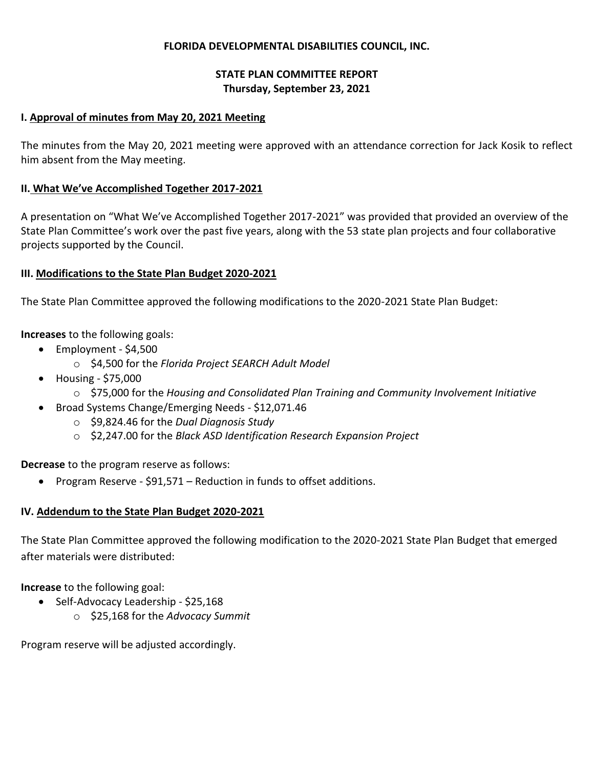#### **FLORIDA DEVELOPMENTAL DISABILITIES COUNCIL, INC.**

### **STATE PLAN COMMITTEE REPORT Thursday, September 23, 2021**

#### **I. Approval of minutes from May 20, 2021 Meeting**

The minutes from the May 20, 2021 meeting were approved with an attendance correction for Jack Kosik to reflect him absent from the May meeting.

### **II. What We've Accomplished Together 2017-2021**

A presentation on "What We've Accomplished Together 2017-2021" was provided that provided an overview of the State Plan Committee's work over the past five years, along with the 53 state plan projects and four collaborative projects supported by the Council.

#### **III. Modifications to the State Plan Budget 2020-2021**

The State Plan Committee approved the following modifications to the 2020-2021 State Plan Budget:

**Increases** to the following goals:

- Employment \$4,500
	- o \$4,500 for the *Florida Project SEARCH Adult Model*
- Housing \$75,000
	- o \$75,000 for the *Housing and Consolidated Plan Training and Community Involvement Initiative*
- Broad Systems Change/Emerging Needs \$12,071.46
	- o \$9,824.46 for the *Dual Diagnosis Study*
	- o \$2,247.00 for the *Black ASD Identification Research Expansion Project*

**Decrease** to the program reserve as follows:

• Program Reserve - \$91,571 – Reduction in funds to offset additions.

# **IV. Addendum to the State Plan Budget 2020-2021**

The State Plan Committee approved the following modification to the 2020-2021 State Plan Budget that emerged after materials were distributed:

**Increase** to the following goal:

- Self-Advocacy Leadership \$25,168
	- o \$25,168 for the *Advocacy Summit*

Program reserve will be adjusted accordingly.